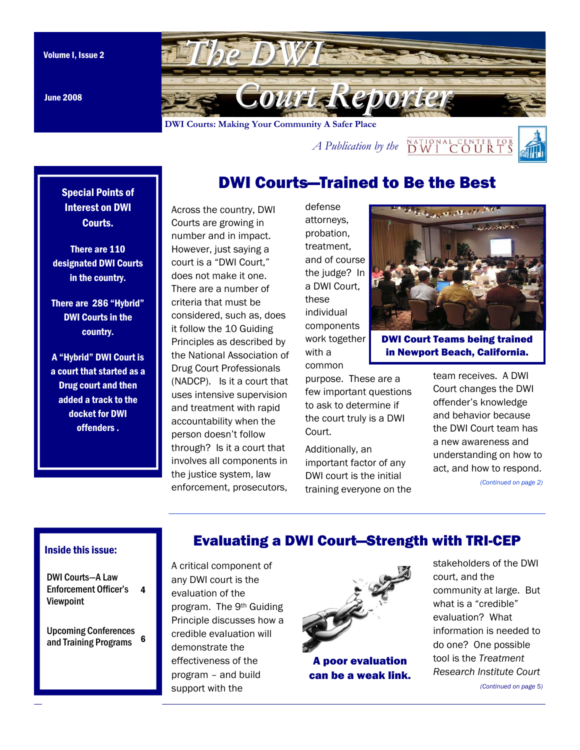June 2008

<span id="page-0-0"></span>

*A Publication by the*  $\frac{NATIONALCENTER FOR}{DWICOUTRTS}$ 



# DWI Courts—Trained to Be the Best

Special Points of Interest on DWI Courts.

There are 110 designated DWI Courts in the country.

There are 286 "Hybrid" DWI Courts in the country.

A "Hybrid" DWI Court is a court that started as a Drug court and then added a track to the docket for DWI offenders .

Across the country, DWI Courts are growing in number and in impact. However, just saying a court is a "DWI Court," does not make it one. There are a number of criteria that must be considered, such as, does it follow the 10 Guiding Principles as described by the National Association of Drug Court Professionals (NADCP). Is it a court that uses intensive supervision and treatment with rapid accountability when the person doesn't follow through? Is it a court that involves all components in the justice system, law enforcement, prosecutors,

defense attorneys, probation, treatment, and of course the judge? In a DWI Court, these individual components work together with a common

DWI Court Teams being trained in Newport Beach, California.

purpose. These are a few important questions to ask to determine if the court truly is a DWI Court.

Additionally, an important factor of any DWI court is the initial training everyone on the team receives. A DWI Court changes the DWI offender's knowledge and behavior because the DWI Court team has a new awareness and understanding on how to act, and how to respond.

*[\(Continued on page 2\)](#page-1-0)* 

### Inside this issue:

DWI Courts—A Law [Enforcement Officer's](#page-3-0)  4 Viewpoint

[Upcoming Conferences](#page-5-0)  and Training Programs 6 A critical component of any DWI court is the evaluation of the program. The 9th Guiding Principle discusses how a credible evaluation will demonstrate the effectiveness of the program – and build support with the



Evaluating a DWI Court—Strength with TRI-CEP

A poor evaluation can be a weak link.

stakeholders of the DWI court, and the community at large. But what is a "credible" evaluation? What information is needed to do one? One possible tool is the *Treatment Resear[ch Institute Court](#page-4-0)  (Continued on page 5)*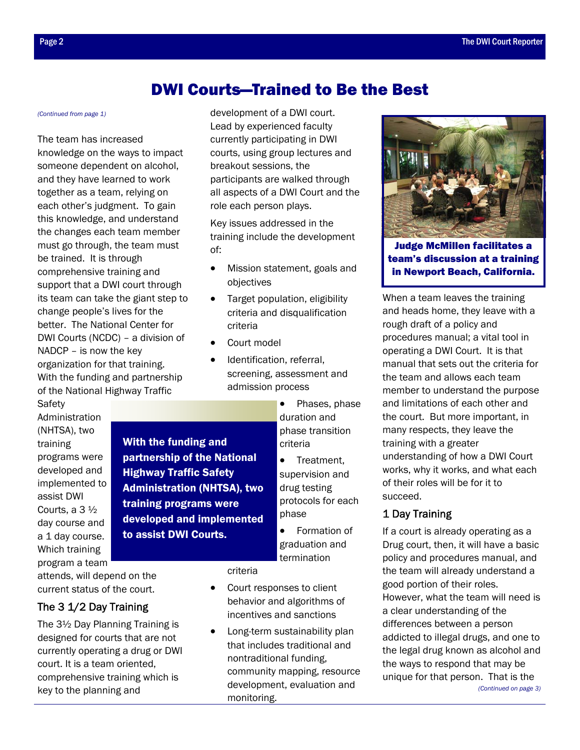## DWI Courts—Trained to Be the Best

The team has increased knowledge on the ways to impact someone dependent on alcohol, and they have learned to work together as a team, relying on each other's judgment. To gain this knowledge, and understand the changes each team member must go through, the team must be trained. It is through comprehensive training and support that a DWI court through its team can take the giant step to change people's lives for the better. The National Center for DWI Courts (NCDC) – a division of NADCP – is now the key organization for that training. With the funding and partnership of the National Highway Traffic

Safety Administration (NHTSA), two training programs were developed and implemented to assist DWI Courts, a 3 ½ day course and a 1 day course. Which training

program a team

attends, will depend on the current status of the court.

### The 3 1/2 Day Training

The 3½ Day Planning Training is designed for courts that are not currently operating a drug or DWI court. It is a team oriented, comprehensive training which is key to the planning and

<span id="page-1-0"></span>*[\(Continued from page 1\)](#page-0-0)* development of a DWI court. Lead by experienced faculty currently participating in DWI courts, using group lectures and breakout sessions, the participants are walked through all aspects of a DWI Court and the role each person plays.

> Key issues addressed in the training include the development of:

- Mission statement, goals and objectives
- Target population, eligibility criteria and disqualification criteria
- Court model

With the funding and

partnership of the National Highway Traffic Safety

Administration (NHTSA), two

developed and implemented

training programs were

to assist DWI Courts.

- Identification, referral, screening, assessment and admission process
	- Phases, phase duration and phase transition criteria
	- Treatment, supervision and drug testing protocols for each phase
	- Formation of graduation and termination

criteria

- Court responses to client behavior and algorithms of incentives and sanctions
- Long-term sustainability plan that includes traditional and nontraditional funding, community mapping, resource development, evaluation and monitoring.



Judge McMillen facilitates a team's discussion at a training in Newport Beach, California.

When a team leaves the training and heads home, they leave with a rough draft of a policy and procedures manual; a vital tool in operating a DWI Court. It is that manual that sets out the criteria for the team and allows each team member to understand the purpose and limitations of each other and the court. But more important, in many respects, they leave the training with a greater understanding of how a DWI Court works, why it works, and what each of their roles will be for it to succeed.

### 1 Day Training

If a court is already operating as a Drug court, then, it will have a basic policy and procedures manual, and the team will already understand a good portion of their roles. However, what the team will need is a clear understanding of the differences between a person addicted to illegal drugs, and one to the legal drug known as alcohol and the ways to respond that may be unique for that person. That is the *[\(Continued on page 3\)](#page-2-0)*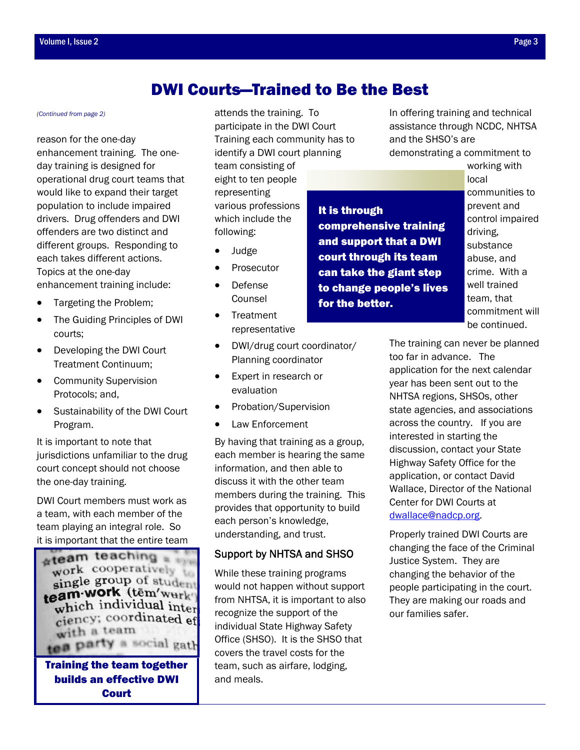# DWI Courts—Trained to Be the Best

#### <span id="page-2-0"></span>*[\(Continued from page 2\)](#page-1-0)*

reason for the one-day enhancement training. The oneday training is designed for operational drug court teams that would like to expand their target population to include impaired drivers. Drug offenders and DWI offenders are two distinct and different groups. Responding to each takes different actions. Topics at the one-day enhancement training include:

- Targeting the Problem;
- The Guiding Principles of DWI courts;
- Developing the DWI Court Treatment Continuum;
- Community Supervision Protocols; and,
- Sustainability of the DWI Court Program.

It is important to note that jurisdictions unfamiliar to the drug court concept should not choose the one-day training.

DWI Court members must work as a team, with each member of the team playing an integral role. So it is important that the entire team



Training the team together builds an effective DWI **Court** 

attends the training. To participate in the DWI Court Training each community has to identify a DWI court planning

team consisting of eight to ten people representing various professions which include the following:

- Judge
- **Prosecutor**
- Defense Counsel
- Treatment representative
- DWI/drug court coordinator/ Planning coordinator
- Expert in research or evaluation
- Probation/Supervision
- Law Enforcement

By having that training as a group, each member is hearing the same information, and then able to discuss it with the other team members during the training. This provides that opportunity to build each person's knowledge, understanding, and trust.

### Support by NHTSA and SHSO

While these training programs would not happen without support from NHTSA, it is important to also recognize the support of the individual State Highway Safety Office (SHSO). It is the SHSO that covers the travel costs for the team, such as airfare, lodging, and meals.

In offering training and technical assistance through NCDC, NHTSA and the SHSO's are

demonstrating a commitment to

working with local communities to prevent and control impaired driving, substance abuse, and crime. With a well trained team, that commitment will be continued.

The training can never be planned too far in advance. The application for the next calendar year has been sent out to the NHTSA regions, SHSOs, other state agencies, and associations across the country. If you are interested in starting the discussion, contact your State Highway Safety Office for the application, or contact David Wallace, Director of the National Center for DWI Courts at dwallace@nadcp.org.

Properly trained DWI Courts are changing the face of the Criminal Justice System. They are changing the behavior of the people participating in the court. They are making our roads and our families safer.

### comprehensive training and support that a DWI

for the better.

court through its team can take the giant step to change people's lives

It is through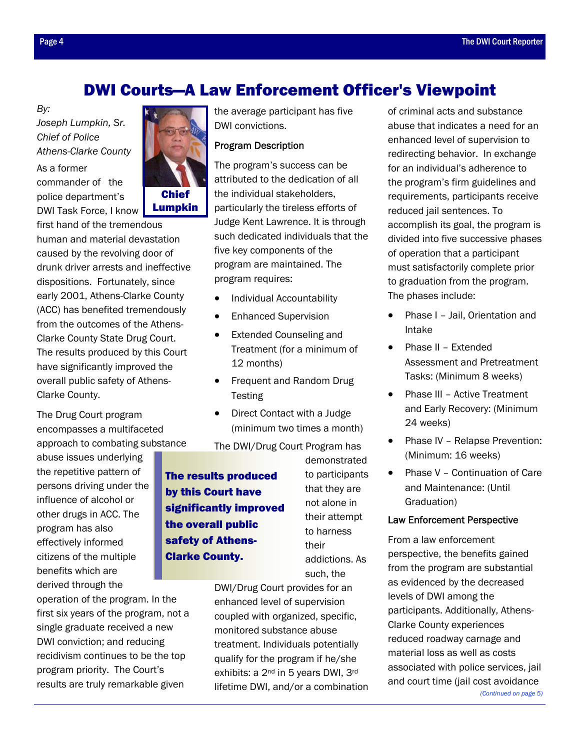# DWI Courts—A Law Enforcement Officer's Viewpoint

<span id="page-3-0"></span>*By:* 

*Joseph Lumpkin, Sr. Chief of Police Athens-Clarke County* 

As a former commander of the police department's DWI Task Force, I know



first hand of the tremendous human and material devastation caused by the revolving door of drunk driver arrests and ineffective dispositions. Fortunately, since early 2001, Athens-Clarke County (ACC) has benefited tremendously from the outcomes of the Athens-Clarke County State Drug Court. The results produced by this Court have significantly improved the overall public safety of Athens-Clarke County.

The Drug Court program encompasses a multifaceted approach to combating substance

abuse issues underlying the repetitive pattern of persons driving under the influence of alcohol or other drugs in ACC. The program has also effectively informed citizens of the multiple benefits which are derived through the

operation of the program. In the first six years of the program, not a single graduate received a new DWI conviction; and reducing recidivism continues to be the top program priority. The Court's results are truly remarkable given

the average participant has five DWI convictions.

### Program Description

The program's success can be attributed to the dedication of all the individual stakeholders, particularly the tireless efforts of Judge Kent Lawrence. It is through such dedicated individuals that the five key components of the program are maintained. The program requires:

- Individual Accountability
- Enhanced Supervision
- Extended Counseling and Treatment (for a minimum of 12 months)
- Frequent and Random Drug **Testing**
- Direct Contact with a Judge (minimum two times a month)

The DWI/Drug Court Program has

The results produced by this Court have significantly improved the overall public safety of Athens-Clarke County.

demonstrated to participants that they are not alone in their attempt to harness their addictions. As such, the

DWI/Drug Court provides for an enhanced level of supervision coupled with organized, specific, monitored substance abuse treatment. Individuals potentially qualify for the program if he/she exhibits: a 2<sup>nd</sup> in 5 years DWI, 3<sup>rd</sup> lifetime DWI, and/or a combination of criminal acts and substance abuse that indicates a need for an enhanced level of supervision to redirecting behavior. In exchange for an individual's adherence to the program's firm guidelines and requirements, participants receive reduced jail sentences. To accomplish its goal, the program is divided into five successive phases of operation that a participant must satisfactorily complete prior to graduation from the program. The phases include:

- Phase I Jail, Orientation and Intake
- Phase II Extended Assessment and Pretreatment Tasks: (Minimum 8 weeks)
- Phase III Active Treatment and Early Recovery: (Minimum 24 weeks)
- Phase IV Relapse Prevention: (Minimum: 16 weeks)
- Phase V Continuation of Care and Maintenance: (Until Graduation)

### Law Enforcement Perspective

From a law enforcement perspective, the benefits gained from the program are substantial as evidenced by the decreased levels of DWI among the participants. Additionally, Athens-Clarke County experiences reduced roadway carnage and material loss as well as costs associated with police services, jail and court time (j[ail cost avoidance](#page-4-0)  *(Continued on page 5)*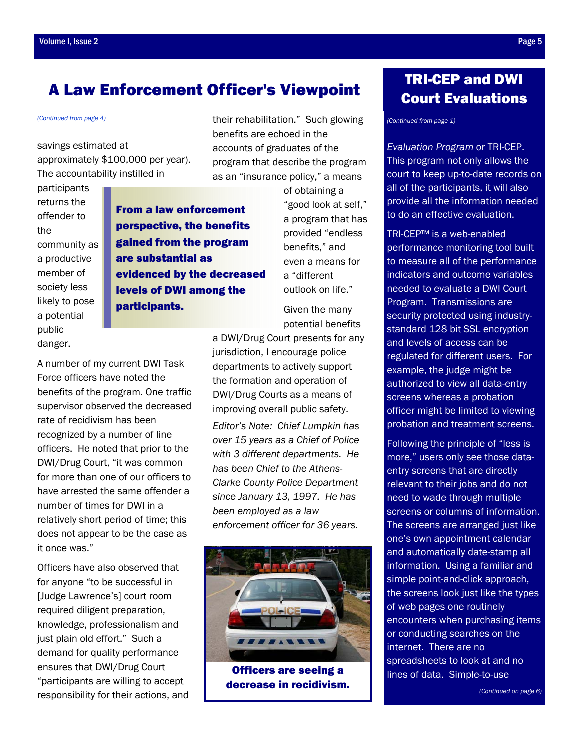# <span id="page-4-0"></span>A Law Enforcement Officer's Viewpoint

savings estimated at approximately \$100,000 per year). The accountability instilled in

A number of my current DWI Task Force officers have noted the

benefits of the program. One traffic supervisor observed the decreased

rate of recidivism has been recognized by a number of line officers. He noted that prior to the DWI/Drug Court, "it was common for more than one of our officers to have arrested the same offender a

number of times for DWI in a

it once was."

relatively short period of time; this does not appear to be the case as

Officers have also observed that for anyone "to be successful in [Judge Lawrence's] court room required diligent preparation, knowledge, professionalism and just plain old effort." Such a demand for quality performance ensures that DWI/Drug Court "participants are willing to accept responsibility for their actions, and

participants returns the offender to the community as a productive member of society less likely to pose a potential public danger.

From a law enforcement perspective, the benefits gained from the program are substantial as evidenced by the decreased levels of DWI among the participants.

*[\(Continued from page 4\)](#page-3-0)* their rehabilitation." Such glowing benefits are echoed in the accounts of graduates of the program that describe the program as an "insurance policy," a means

> of obtaining a "good look at self," a program that has provided "endless benefits," and even a means for a "different outlook on life."

Given the many potential benefits

a DWI/Drug Court presents for any jurisdiction, I encourage police departments to actively support the formation and operation of DWI/Drug Courts as a means of improving overall public safety. *Editor's Note: Chief Lumpkin has over 15 years as a Chief of Police with 3 different departments. He has been Chief to the Athens-Clarke County Police Department since January 13, 1997. He has been employed as a law enforcement officer for 36 years.* 



Officers are seeing a decrease in recidivism.

# TRI-CEP and DWI Court Evaluations

*[\(Continued from page 1\)](#page-0-0)* 

*Evaluation Program* or TRI-CEP. This program not only allows the court to keep up-to-date records on all of the participants, it will also provide all the information needed to do an effective evaluation.

TRI-CEP™ is a web-enabled performance monitoring tool built to measure all of the performance indicators and outcome variables needed to evaluate a DWI Court Program. Transmissions are security protected using industrystandard 128 bit SSL encryption and levels of access can be regulated for different users. For example, the judge might be authorized to view all data-entry screens whereas a probation officer might be limited to viewing probation and treatment screens.

Following the principle of "less is more," users only see those dataentry screens that are directly relevant to their jobs and do not need to wade through multiple screens or columns of information. The screens are arranged just like one's own appointment calendar and automatically date-stamp all information. Using a familiar and simple point-and-click approach, the screens look just like the types of web pages one routinely encounters when purchasing items or conducting searches on the internet. There are no spreadsheets to look at and no lines of data. Simple-to-use

*[\(Continued on page 6\)](#page-5-0)*